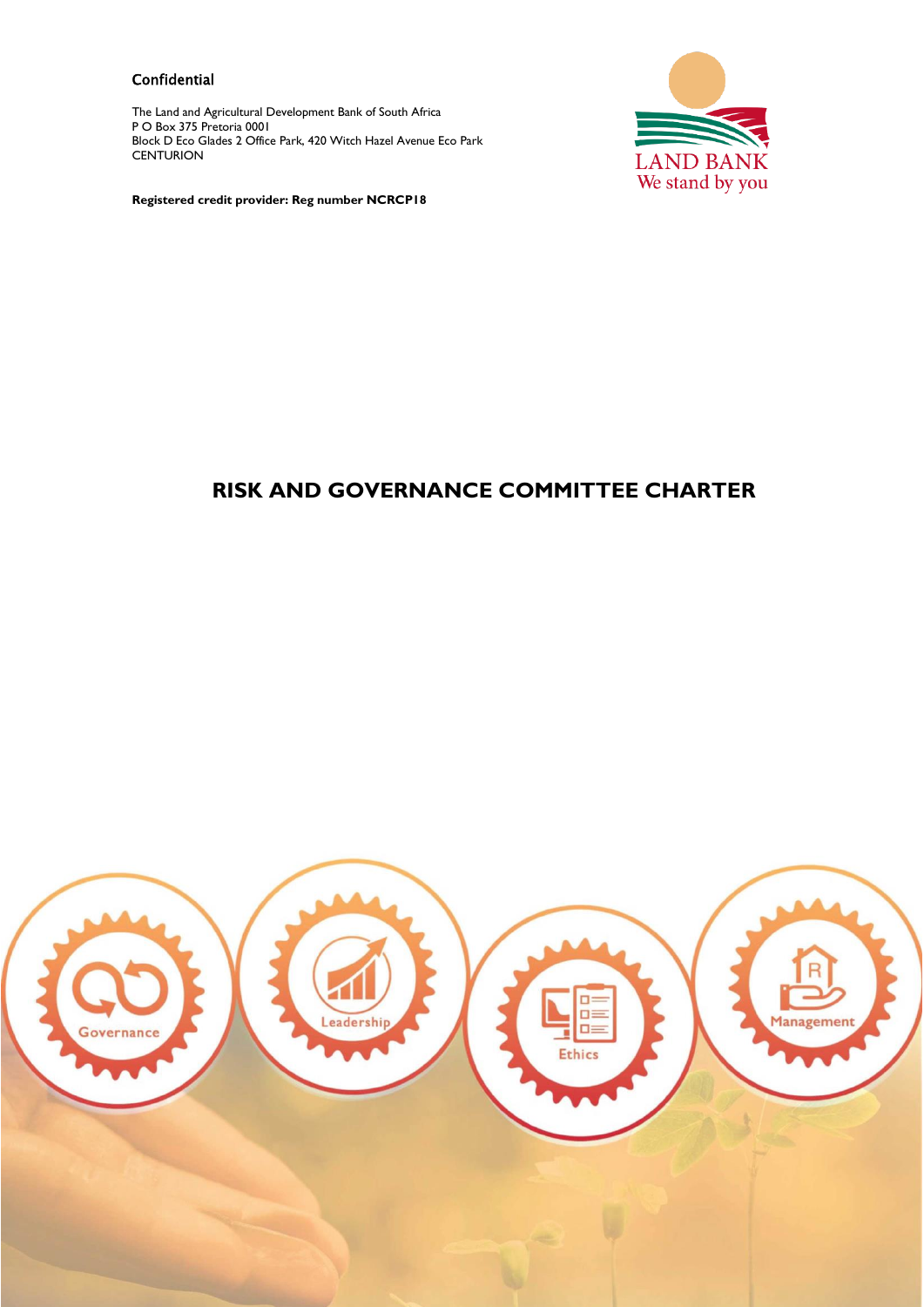#### **Confidential**

The Land and Agricultural Development Bank of South Africa P O Box 375 Pretoria 0001 Block D Eco Glades 2 Office Park, 420 Witch Hazel Avenue Eco Park **CENTURION** 



**Registered credit provider: Reg number NCRCP18**

# **RISK AND GOVERNANCE COMMITTEE CHARTER**

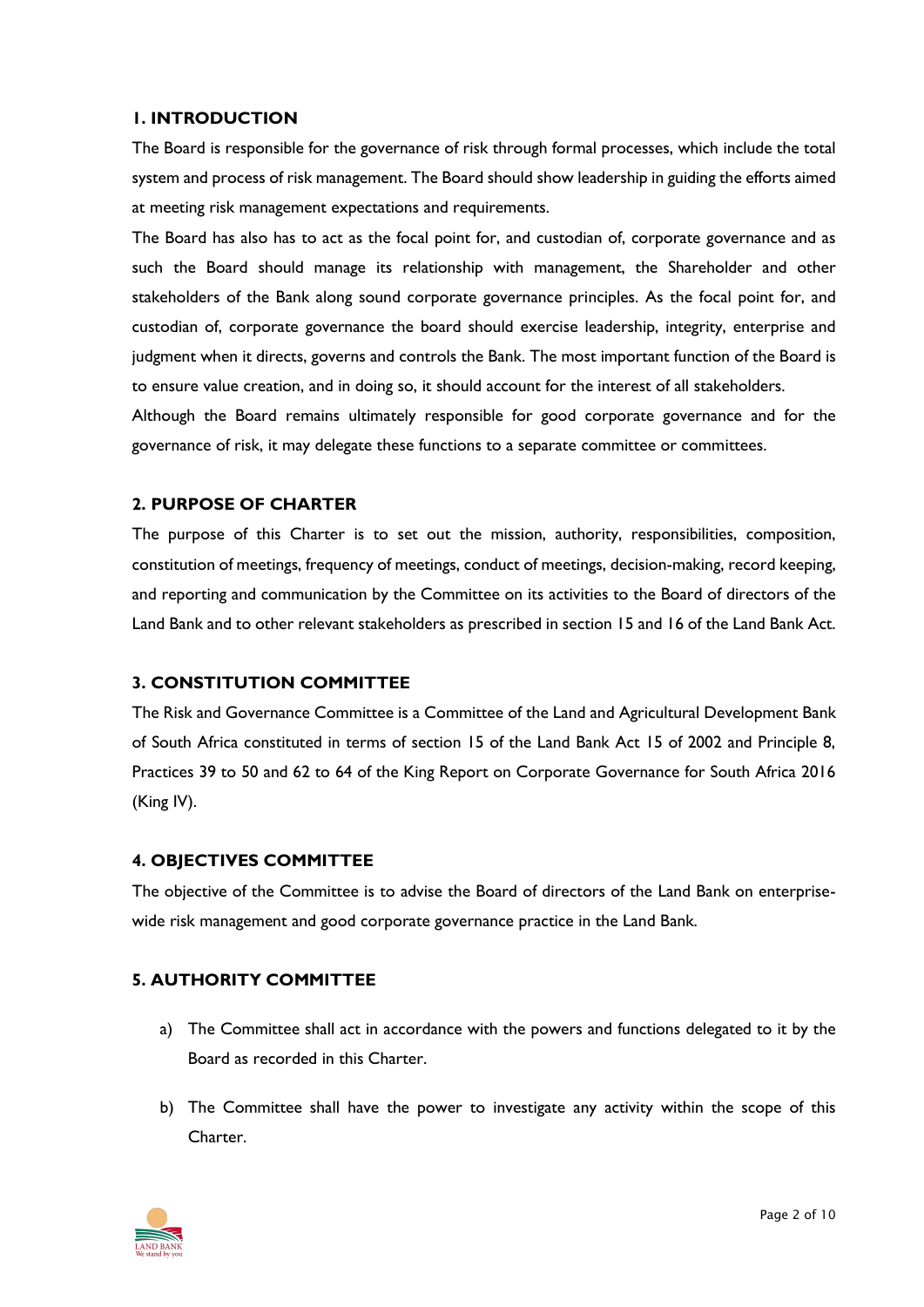#### **1. INTRODUCTION**

The Board is responsible for the governance of risk through formal processes, which include the total system and process of risk management. The Board should show leadership in guiding the efforts aimed at meeting risk management expectations and requirements.

The Board has also has to act as the focal point for, and custodian of, corporate governance and as such the Board should manage its relationship with management, the Shareholder and other stakeholders of the Bank along sound corporate governance principles. As the focal point for, and custodian of, corporate governance the board should exercise leadership, integrity, enterprise and judgment when it directs, governs and controls the Bank. The most important function of the Board is to ensure value creation, and in doing so, it should account for the interest of all stakeholders.

Although the Board remains ultimately responsible for good corporate governance and for the governance of risk, it may delegate these functions to a separate committee or committees.

## **2. PURPOSE OF CHARTER**

The purpose of this Charter is to set out the mission, authority, responsibilities, composition, constitution of meetings, frequency of meetings, conduct of meetings, decision-making, record keeping, and reporting and communication by the Committee on its activities to the Board of directors of the Land Bank and to other relevant stakeholders as prescribed in section 15 and 16 of the Land Bank Act.

## **3. CONSTITUTION COMMITTEE**

The Risk and Governance Committee is a Committee of the Land and Agricultural Development Bank of South Africa constituted in terms of section 15 of the Land Bank Act 15 of 2002 and Principle 8, Practices 39 to 50 and 62 to 64 of the King Report on Corporate Governance for South Africa 2016 (King IV).

## **4. OBJECTIVES COMMITTEE**

The objective of the Committee is to advise the Board of directors of the Land Bank on enterprisewide risk management and good corporate governance practice in the Land Bank.

# **5. AUTHORITY COMMITTEE**

- a) The Committee shall act in accordance with the powers and functions delegated to it by the Board as recorded in this Charter.
- b) The Committee shall have the power to investigate any activity within the scope of this Charter.

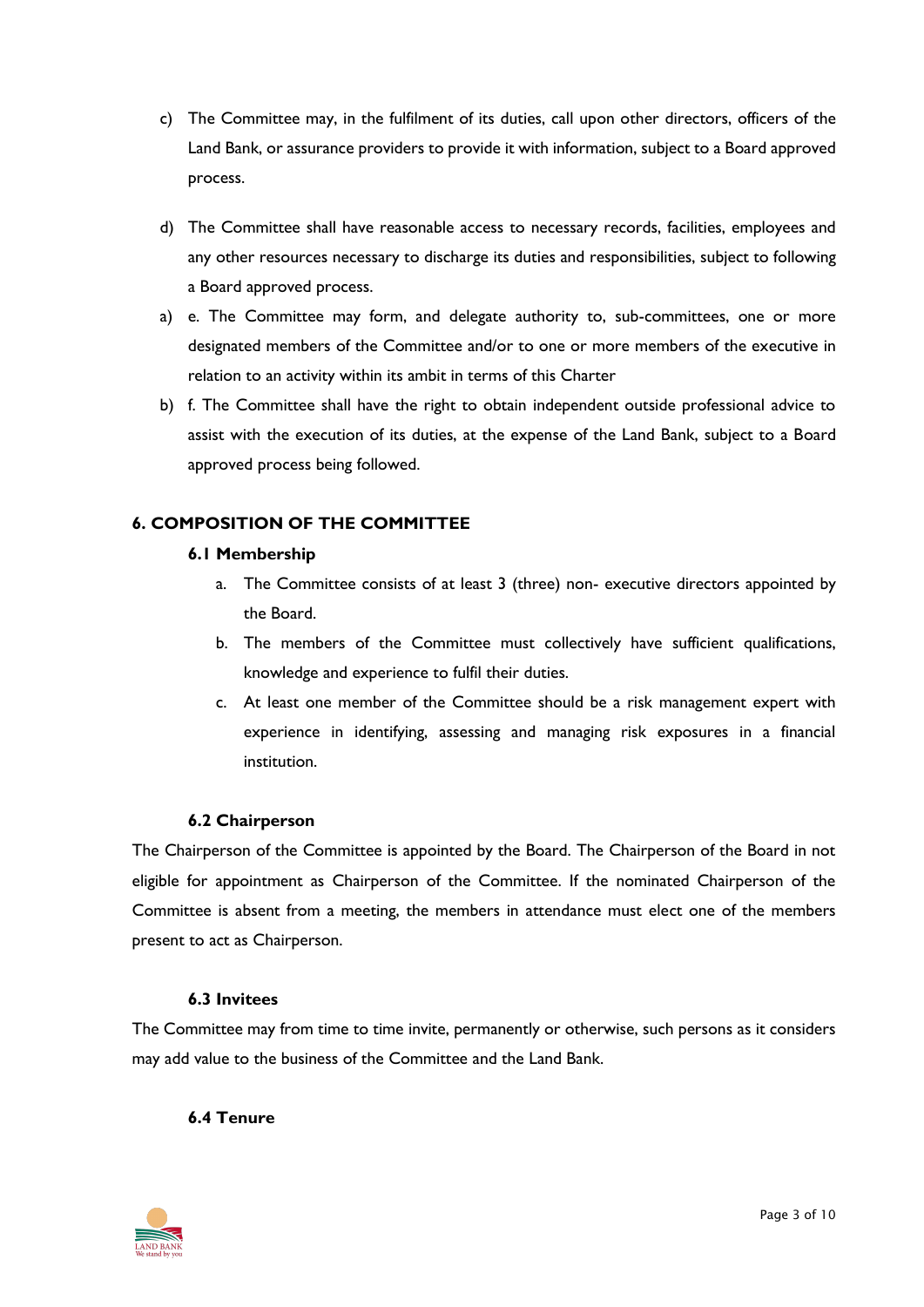- c) The Committee may, in the fulfilment of its duties, call upon other directors, officers of the Land Bank, or assurance providers to provide it with information, subject to a Board approved process.
- d) The Committee shall have reasonable access to necessary records, facilities, employees and any other resources necessary to discharge its duties and responsibilities, subject to following a Board approved process.
- a) e. The Committee may form, and delegate authority to, sub-committees, one or more designated members of the Committee and/or to one or more members of the executive in relation to an activity within its ambit in terms of this Charter
- b) f. The Committee shall have the right to obtain independent outside professional advice to assist with the execution of its duties, at the expense of the Land Bank, subject to a Board approved process being followed.

# **6. COMPOSITION OF THE COMMITTEE**

# **6.1 Membership**

- a. The Committee consists of at least 3 (three) non- executive directors appointed by the Board.
- b. The members of the Committee must collectively have sufficient qualifications, knowledge and experience to fulfil their duties.
- c. At least one member of the Committee should be a risk management expert with experience in identifying, assessing and managing risk exposures in a financial institution.

# **6.2 Chairperson**

The Chairperson of the Committee is appointed by the Board. The Chairperson of the Board in not eligible for appointment as Chairperson of the Committee. If the nominated Chairperson of the Committee is absent from a meeting, the members in attendance must elect one of the members present to act as Chairperson.

## **6.3 Invitees**

The Committee may from time to time invite, permanently or otherwise, such persons as it considers may add value to the business of the Committee and the Land Bank.

## **6.4 Tenure**

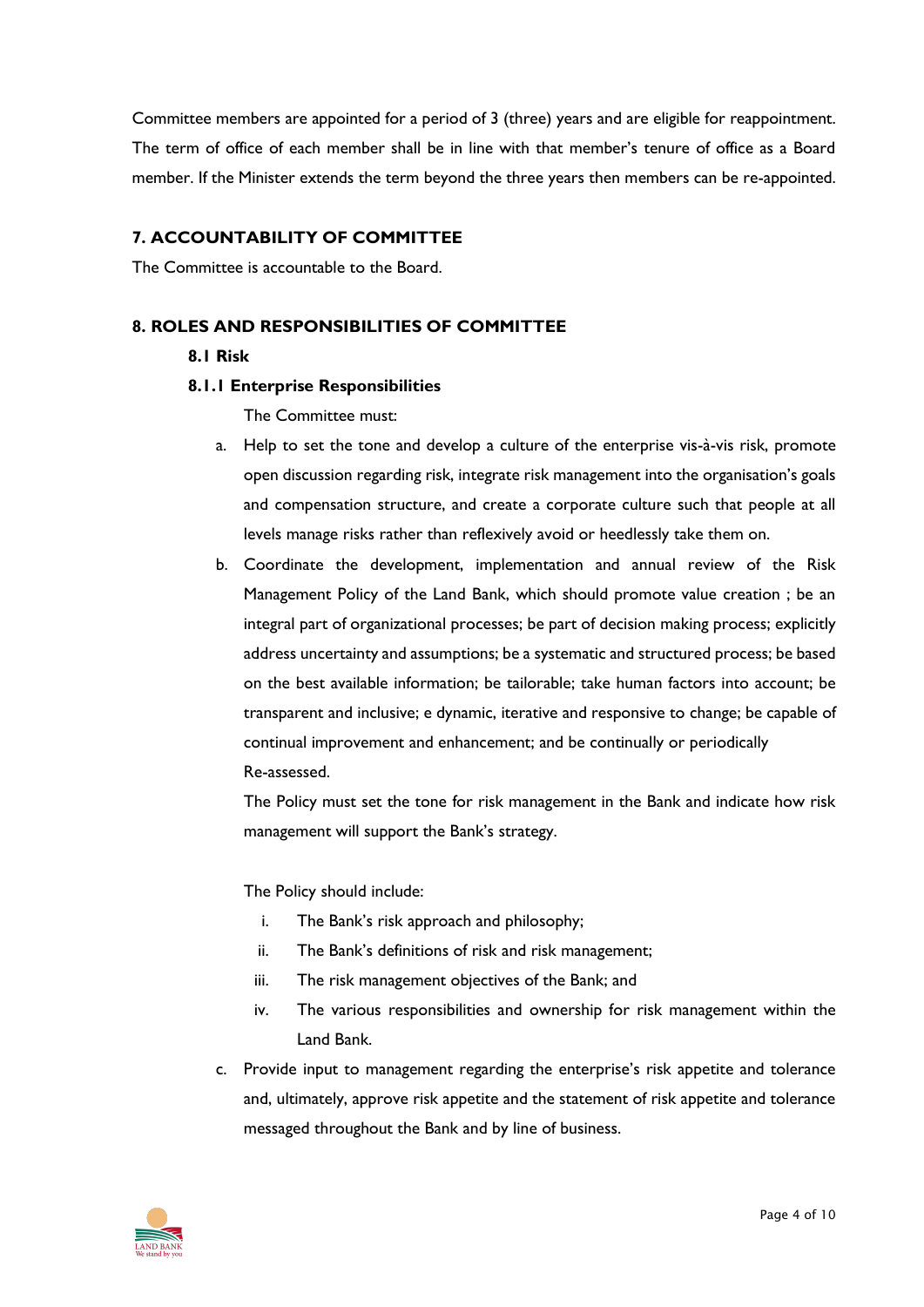Committee members are appointed for a period of 3 (three) years and are eligible for reappointment. The term of office of each member shall be in line with that member's tenure of office as a Board member. If the Minister extends the term beyond the three years then members can be re-appointed.

## **7. ACCOUNTABILITY OF COMMITTEE**

The Committee is accountable to the Board.

## **8. ROLES AND RESPONSIBILITIES OF COMMITTEE**

## **8.1 Risk**

#### **8.1.1 Enterprise Responsibilities**

The Committee must:

- a. Help to set the tone and develop a culture of the enterprise vis-à-vis risk, promote open discussion regarding risk, integrate risk management into the organisation's goals and compensation structure, and create a corporate culture such that people at all levels manage risks rather than reflexively avoid or heedlessly take them on.
- b. Coordinate the development, implementation and annual review of the Risk Management Policy of the Land Bank, which should promote value creation ; be an integral part of organizational processes; be part of decision making process; explicitly address uncertainty and assumptions; be a systematic and structured process; be based on the best available information; be tailorable; take human factors into account; be transparent and inclusive; e dynamic, iterative and responsive to change; be capable of continual improvement and enhancement; and be continually or periodically Re-assessed.

The Policy must set the tone for risk management in the Bank and indicate how risk management will support the Bank's strategy.

The Policy should include:

- i. The Bank's risk approach and philosophy;
- ii. The Bank's definitions of risk and risk management;
- iii. The risk management objectives of the Bank; and
- iv. The various responsibilities and ownership for risk management within the Land Bank.
- c. Provide input to management regarding the enterprise's risk appetite and tolerance and, ultimately, approve risk appetite and the statement of risk appetite and tolerance messaged throughout the Bank and by line of business.

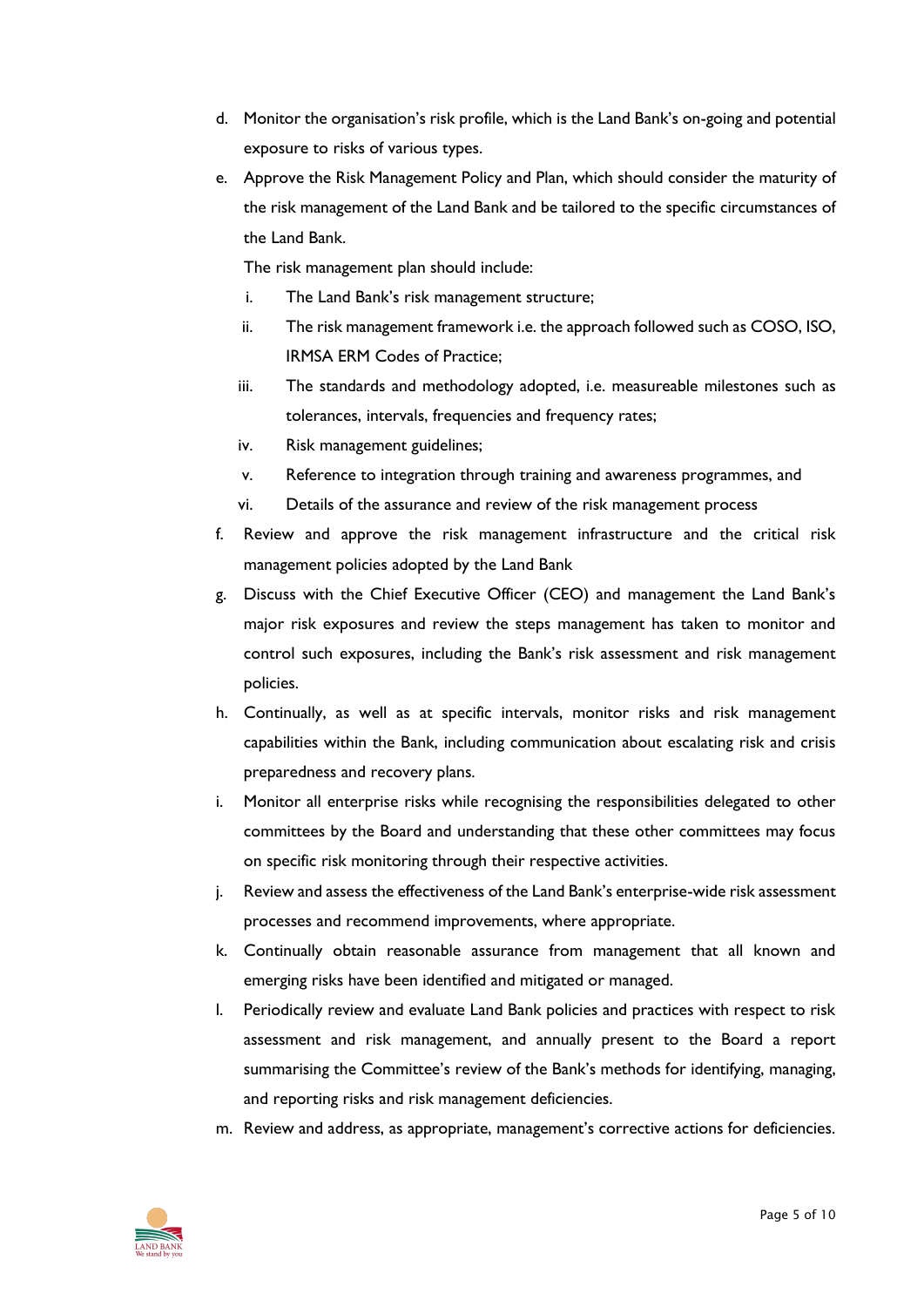- d. Monitor the organisation's risk profile, which is the Land Bank's on-going and potential exposure to risks of various types.
- e. Approve the Risk Management Policy and Plan, which should consider the maturity of the risk management of the Land Bank and be tailored to the specific circumstances of the Land Bank.

The risk management plan should include:

- i. The Land Bank's risk management structure;
- ii. The risk management framework i.e. the approach followed such as COSO, ISO, IRMSA ERM Codes of Practice;
- iii. The standards and methodology adopted, i.e. measureable milestones such as tolerances, intervals, frequencies and frequency rates;
- iv. Risk management guidelines;
- v. Reference to integration through training and awareness programmes, and
- vi. Details of the assurance and review of the risk management process
- f. Review and approve the risk management infrastructure and the critical risk management policies adopted by the Land Bank
- g. Discuss with the Chief Executive Officer (CEO) and management the Land Bank's major risk exposures and review the steps management has taken to monitor and control such exposures, including the Bank's risk assessment and risk management policies.
- h. Continually, as well as at specific intervals, monitor risks and risk management capabilities within the Bank, including communication about escalating risk and crisis preparedness and recovery plans.
- i. Monitor all enterprise risks while recognising the responsibilities delegated to other committees by the Board and understanding that these other committees may focus on specific risk monitoring through their respective activities.
- j. Review and assess the effectiveness of the Land Bank's enterprise-wide risk assessment processes and recommend improvements, where appropriate.
- k. Continually obtain reasonable assurance from management that all known and emerging risks have been identified and mitigated or managed.
- l. Periodically review and evaluate Land Bank policies and practices with respect to risk assessment and risk management, and annually present to the Board a report summarising the Committee's review of the Bank's methods for identifying, managing, and reporting risks and risk management deficiencies.
- m. Review and address, as appropriate, management's corrective actions for deficiencies.

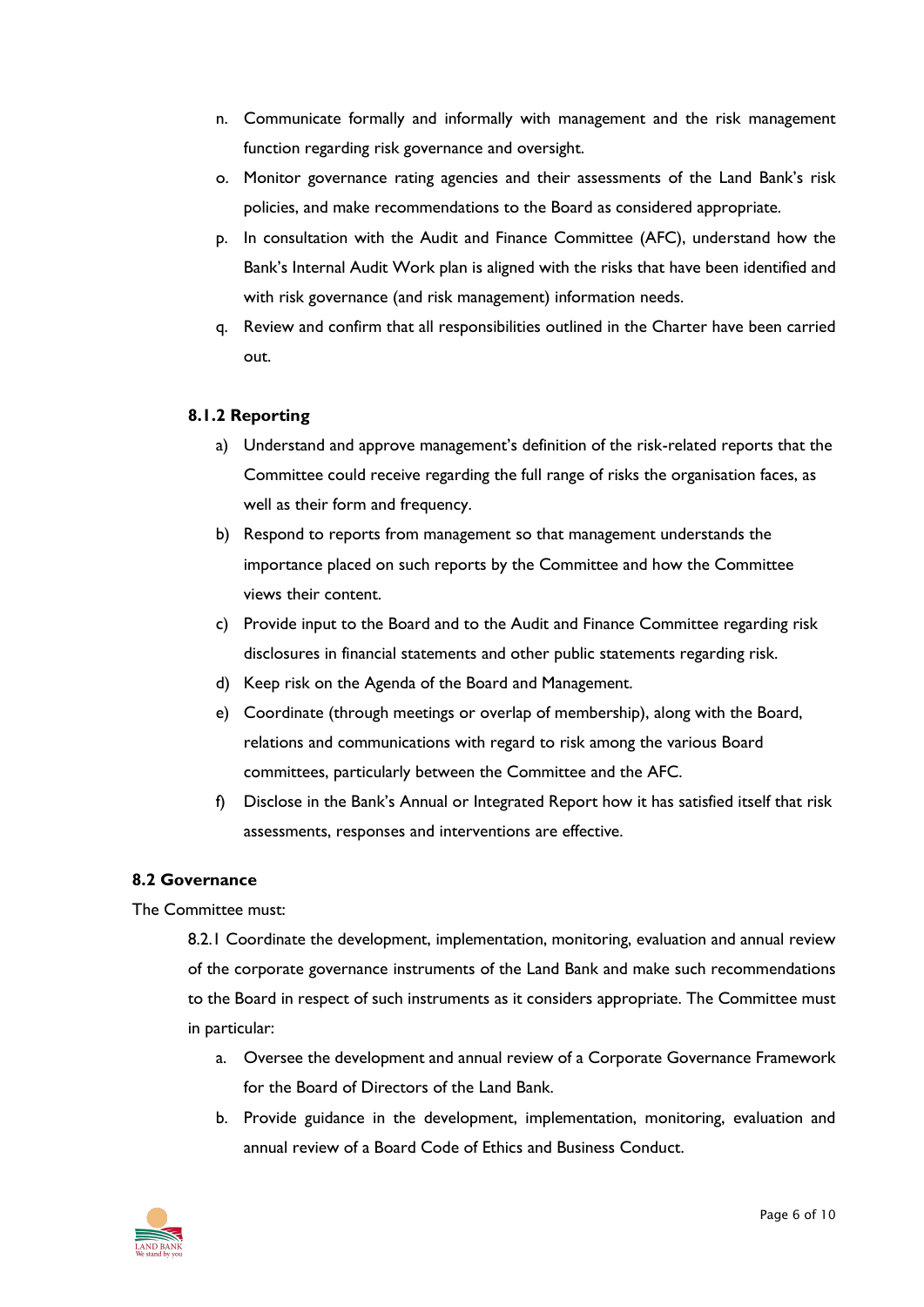- n. Communicate formally and informally with management and the risk management function regarding risk governance and oversight.
- o. Monitor governance rating agencies and their assessments of the Land Bank's risk policies, and make recommendations to the Board as considered appropriate.
- p. In consultation with the Audit and Finance Committee (AFC), understand how the Bank's Internal Audit Work plan is aligned with the risks that have been identified and with risk governance (and risk management) information needs.
- q. Review and confirm that all responsibilities outlined in the Charter have been carried out.

#### **8.1.2 Reporting**

- a) Understand and approve management's definition of the risk-related reports that the Committee could receive regarding the full range of risks the organisation faces, as well as their form and frequency.
- b) Respond to reports from management so that management understands the importance placed on such reports by the Committee and how the Committee views their content.
- c) Provide input to the Board and to the Audit and Finance Committee regarding risk disclosures in financial statements and other public statements regarding risk.
- d) Keep risk on the Agenda of the Board and Management.
- e) Coordinate (through meetings or overlap of membership), along with the Board, relations and communications with regard to risk among the various Board committees, particularly between the Committee and the AFC.
- f) Disclose in the Bank's Annual or Integrated Report how it has satisfied itself that risk assessments, responses and interventions are effective.

#### **8.2 Governance**

The Committee must:

8.2.1 Coordinate the development, implementation, monitoring, evaluation and annual review of the corporate governance instruments of the Land Bank and make such recommendations to the Board in respect of such instruments as it considers appropriate. The Committee must in particular:

- a. Oversee the development and annual review of a Corporate Governance Framework for the Board of Directors of the Land Bank.
- b. Provide guidance in the development, implementation, monitoring, evaluation and annual review of a Board Code of Ethics and Business Conduct.

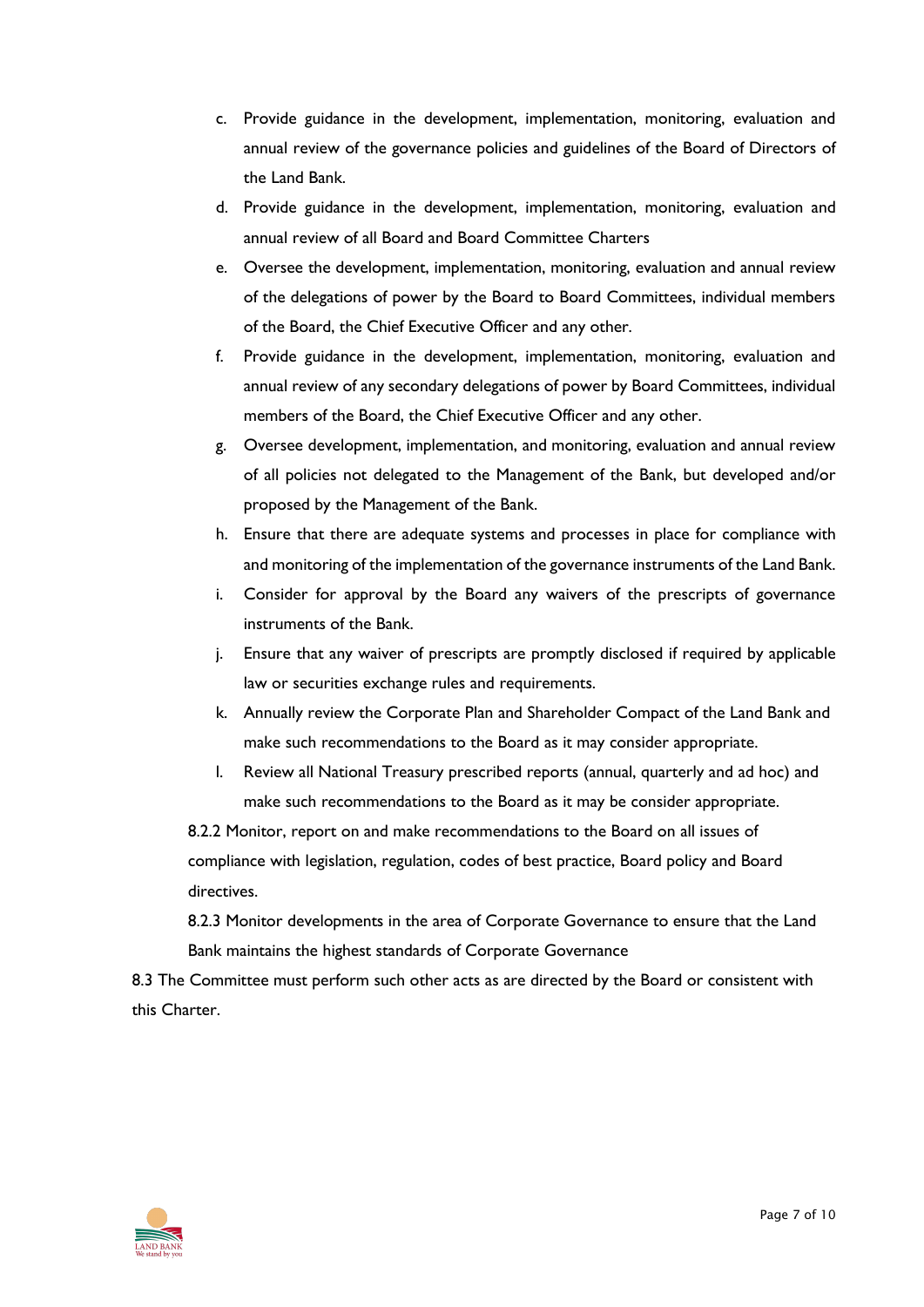- c. Provide guidance in the development, implementation, monitoring, evaluation and annual review of the governance policies and guidelines of the Board of Directors of the Land Bank.
- d. Provide guidance in the development, implementation, monitoring, evaluation and annual review of all Board and Board Committee Charters
- e. Oversee the development, implementation, monitoring, evaluation and annual review of the delegations of power by the Board to Board Committees, individual members of the Board, the Chief Executive Officer and any other.
- f. Provide guidance in the development, implementation, monitoring, evaluation and annual review of any secondary delegations of power by Board Committees, individual members of the Board, the Chief Executive Officer and any other.
- g. Oversee development, implementation, and monitoring, evaluation and annual review of all policies not delegated to the Management of the Bank, but developed and/or proposed by the Management of the Bank.
- h. Ensure that there are adequate systems and processes in place for compliance with and monitoring of the implementation of the governance instruments of the Land Bank.
- i. Consider for approval by the Board any waivers of the prescripts of governance instruments of the Bank.
- j. Ensure that any waiver of prescripts are promptly disclosed if required by applicable law or securities exchange rules and requirements.
- k. Annually review the Corporate Plan and Shareholder Compact of the Land Bank and make such recommendations to the Board as it may consider appropriate.
- l. Review all National Treasury prescribed reports (annual, quarterly and ad hoc) and make such recommendations to the Board as it may be consider appropriate.

8.2.2 Monitor, report on and make recommendations to the Board on all issues of compliance with legislation, regulation, codes of best practice, Board policy and Board directives.

8.2.3 Monitor developments in the area of Corporate Governance to ensure that the Land Bank maintains the highest standards of Corporate Governance

8.3 The Committee must perform such other acts as are directed by the Board or consistent with this Charter.

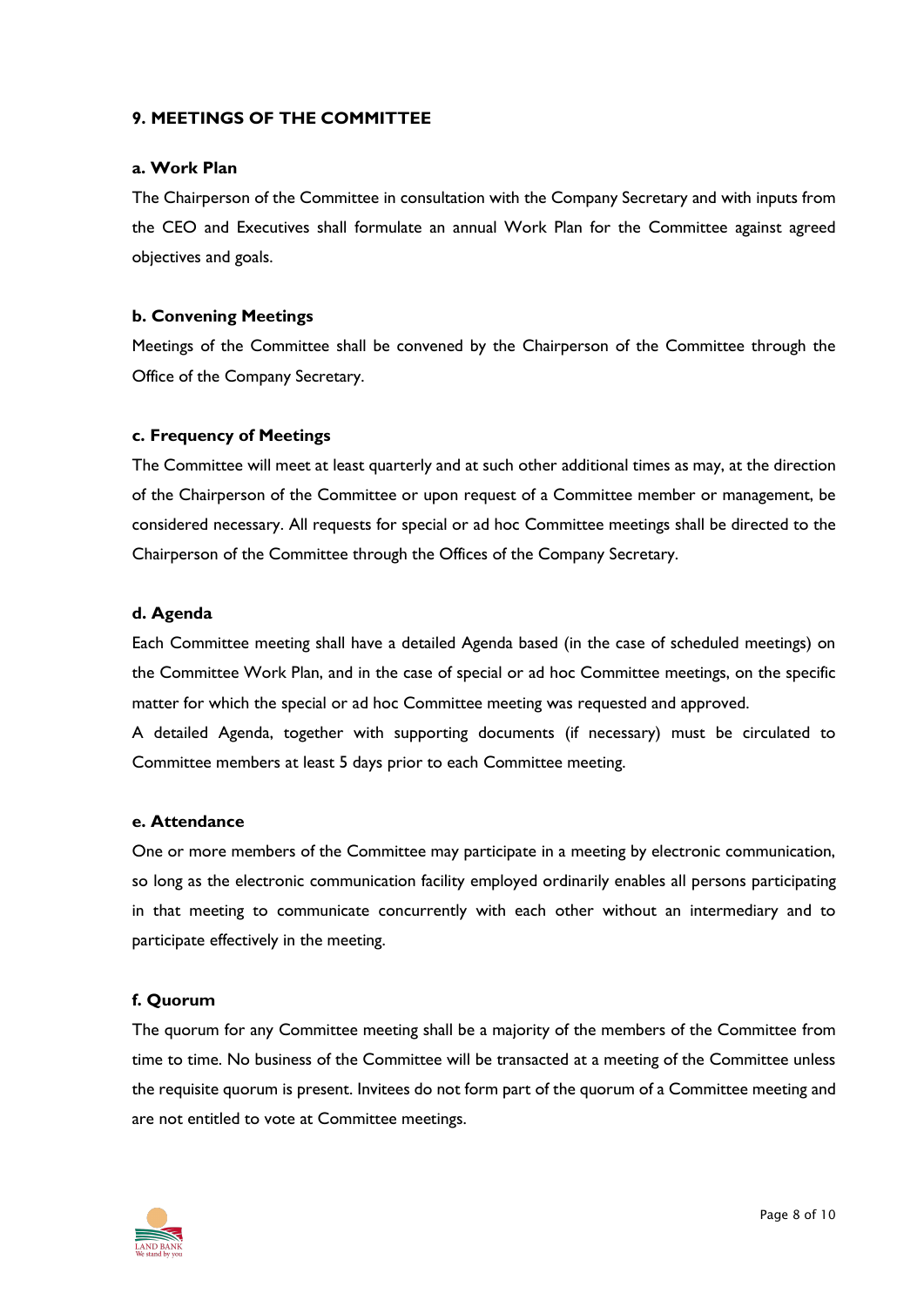## **9. MEETINGS OF THE COMMITTEE**

#### **a. Work Plan**

The Chairperson of the Committee in consultation with the Company Secretary and with inputs from the CEO and Executives shall formulate an annual Work Plan for the Committee against agreed objectives and goals.

#### **b. Convening Meetings**

Meetings of the Committee shall be convened by the Chairperson of the Committee through the Office of the Company Secretary.

#### **c. Frequency of Meetings**

The Committee will meet at least quarterly and at such other additional times as may, at the direction of the Chairperson of the Committee or upon request of a Committee member or management, be considered necessary. All requests for special or ad hoc Committee meetings shall be directed to the Chairperson of the Committee through the Offices of the Company Secretary.

#### **d. Agenda**

Each Committee meeting shall have a detailed Agenda based (in the case of scheduled meetings) on the Committee Work Plan, and in the case of special or ad hoc Committee meetings, on the specific matter for which the special or ad hoc Committee meeting was requested and approved.

A detailed Agenda, together with supporting documents (if necessary) must be circulated to Committee members at least 5 days prior to each Committee meeting.

#### **e. Attendance**

One or more members of the Committee may participate in a meeting by electronic communication, so long as the electronic communication facility employed ordinarily enables all persons participating in that meeting to communicate concurrently with each other without an intermediary and to participate effectively in the meeting.

#### **f. Quorum**

The quorum for any Committee meeting shall be a majority of the members of the Committee from time to time. No business of the Committee will be transacted at a meeting of the Committee unless the requisite quorum is present. Invitees do not form part of the quorum of a Committee meeting and are not entitled to vote at Committee meetings.

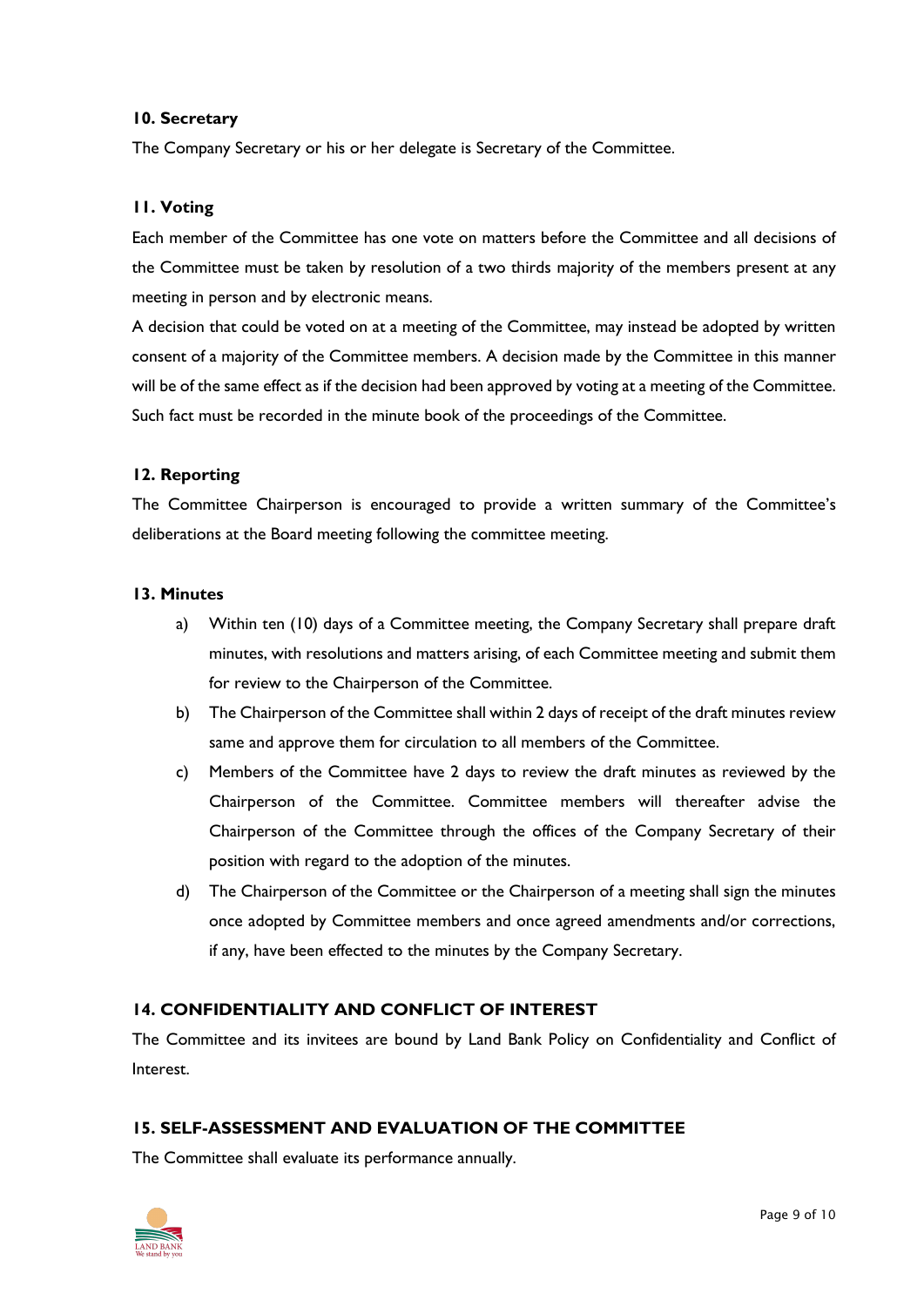#### **10. Secretary**

The Company Secretary or his or her delegate is Secretary of the Committee.

#### **11. Voting**

Each member of the Committee has one vote on matters before the Committee and all decisions of the Committee must be taken by resolution of a two thirds majority of the members present at any meeting in person and by electronic means.

A decision that could be voted on at a meeting of the Committee, may instead be adopted by written consent of a majority of the Committee members. A decision made by the Committee in this manner will be of the same effect as if the decision had been approved by voting at a meeting of the Committee. Such fact must be recorded in the minute book of the proceedings of the Committee.

#### **12. Reporting**

The Committee Chairperson is encouraged to provide a written summary of the Committee's deliberations at the Board meeting following the committee meeting.

#### **13. Minutes**

- a) Within ten (10) days of a Committee meeting, the Company Secretary shall prepare draft minutes, with resolutions and matters arising, of each Committee meeting and submit them for review to the Chairperson of the Committee.
- b) The Chairperson of the Committee shall within 2 days of receipt of the draft minutes review same and approve them for circulation to all members of the Committee.
- c) Members of the Committee have 2 days to review the draft minutes as reviewed by the Chairperson of the Committee. Committee members will thereafter advise the Chairperson of the Committee through the offices of the Company Secretary of their position with regard to the adoption of the minutes.
- d) The Chairperson of the Committee or the Chairperson of a meeting shall sign the minutes once adopted by Committee members and once agreed amendments and/or corrections, if any, have been effected to the minutes by the Company Secretary.

## **14. CONFIDENTIALITY AND CONFLICT OF INTEREST**

The Committee and its invitees are bound by Land Bank Policy on Confidentiality and Conflict of Interest.

# **15. SELF-ASSESSMENT AND EVALUATION OF THE COMMITTEE**

The Committee shall evaluate its performance annually.